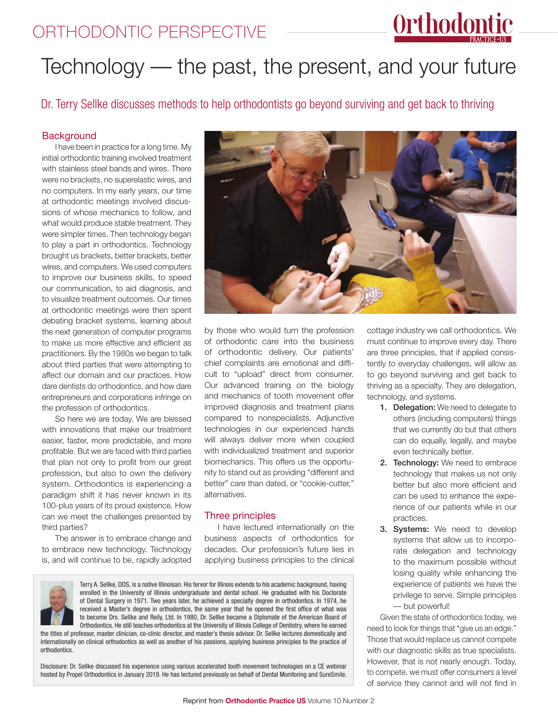### ORTHODONTIC PERSPECTIVE

# Orthodontic

## Technology — the past, the present, and your future

Dr. Terry Sellke discusses methods to help orthodontists go beyond surviving and get back to thriving

#### **Background**

I have been in practice for a long time. My initial orthodontic training involved treatment with stainless steel bands and wires. There were no brackets, no superelastic wires, and no computers. In my early years, our time at orthodontic meetings involved discussions of whose mechanics to follow, and what would produce stable treatment. They were simpler times. Then technology began to play a part in orthodontics. Technology brought us brackets, better brackets, better wires, and computers. We used computers to improve our business skills, to speed our communication, to aid diagnosis, and to visualize treatment outcomes. Our times at orthodontic meetings were then spent debating bracket systems, learning about the next generation of computer programs to make us more effective and efficient as practitioners. By the 1980s we began to talk about third parties that were attempting to affect our domain and our practices. How dare dentists do orthodontics, and how dare entrepreneurs and corporations infringe on the profession of orthodontics.

So here we are today. We are blessed with innovations that make our treatment easier, faster, more predictable, and more profitable. But we are faced with third parties that plan not only to profit from our great profession, but also to own the delivery system. Orthodontics is experiencing a paradigm shift it has never known in its 100-plus years of its proud existence. How can we meet the challenges presented by third parties?

The answer is to embrace change and to embrace new technology. Technology is, and will continue to be, rapidly adopted



by those who would turn the profession of orthodontic care into the business of orthodontic delivery. Our patients' chief complaints are emotional and difficult to "upload" direct from consumer. Our advanced training on the biology and mechanics of tooth movement offer improved diagnosis and treatment plans compared to nonspecialists. Adjunctive technologies in our experienced hands will always deliver more when coupled with individualized treatment and superior biomechanics. This offers us the opportunity to stand out as providing "different and better" care than dated, or "cookie-cutter," alternatives.

#### Three principles

I have lectured internationally on the business aspects of orthodontics for decades. Our profession's future lies in applying business principles to the clinical



Terry A. Sellke, DDS, is a native Illinoisan. His fervor for Illinois extends to his academic background, having enrolled in the University of Illinois undergraduate and dental school. He graduated with his Doctorate of Dental Surgery in 1971. Two years later, he achieved a specialty degree in orthodontics. In 1974, he received a Master's degree in orthodontics, the same year that he opened the first office of what was to become Drs. Sellke and Reily, Ltd. In 1980, Dr. Sellke became a Diplomate of the American Board of Orthodontics. He still teaches orthodontics at the University of Illinois College of Dentistry, where he earned the titles of professor, master clinician, co-clinic director, and master's thesis advisor. Dr. Sellke lectures domestically and

internationally on clinical orthodontics as well as another of his passions, applying business principles to the practice of orthodontics.

Disclosure: Dr. Sellke discussed his experience using various accelerated tooth movement technologies on a CE webinar hosted by Propel Orthodontics in January 2019. He has lectured previously on behalf of Dental Monitoring and SureSmile. cottage industry we call orthodontics. We must continue to improve every day. There are three principles, that if applied consistently to everyday challenges, will allow as to go beyond surviving and get back to thriving as a specialty. They are delegation, technology, and systems.

- 1. Delegation: We need to delegate to others (including computers) things that we currently do but that others can do equally, legally, and maybe even technically better.
- 2. Technology: We need to embrace technology that makes us not only better but also more efficient and can be used to enhance the experience of our patients while in our practices.
- 3. Systems: We need to develop systems that allow us to incorporate delegation and technology to the maximum possible without losing quality while enhancing the experience of patients we have the privilege to serve. Simple principles — but powerful!

Given the state of orthodontics today, we need to look for things that "give us an edge." Those that would replace us cannot compete with our diagnostic skills as true specialists. However, that is not nearly enough. Today, to compete, we must offer consumers a level of service they cannot and will not find in